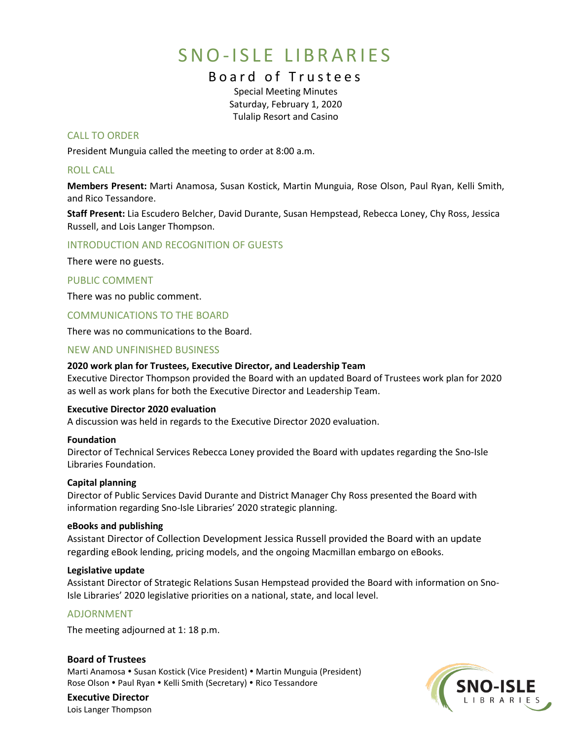# SNO-ISLE LIBRARIES

# Board of Trustees

Special Meeting Minutes Saturday, February 1, 2020 Tulalip Resort and Casino

# CALL TO ORDER

President Munguia called the meeting to order at 8:00 a.m.

# ROLL CALL

**Members Present:** Marti Anamosa, Susan Kostick, Martin Munguia, Rose Olson, Paul Ryan, Kelli Smith, and Rico Tessandore.

**Staff Present:** Lia Escudero Belcher, David Durante, Susan Hempstead, Rebecca Loney, Chy Ross, Jessica Russell, and Lois Langer Thompson.

# INTRODUCTION AND RECOGNITION OF GUESTS

There were no guests.

# PUBLIC COMMENT

There was no public comment.

COMMUNICATIONS TO THE BOARD

There was no communications to the Board.

# NEW AND UNFINISHED BUSINESS

#### **2020 work plan for Trustees, Executive Director, and Leadership Team**

Executive Director Thompson provided the Board with an updated Board of Trustees work plan for 2020 as well as work plans for both the Executive Director and Leadership Team.

#### **Executive Director 2020 evaluation**

A discussion was held in regards to the Executive Director 2020 evaluation.

#### **Foundation**

Director of Technical Services Rebecca Loney provided the Board with updates regarding the Sno-Isle Libraries Foundation.

#### **Capital planning**

Director of Public Services David Durante and District Manager Chy Ross presented the Board with information regarding Sno-Isle Libraries' 2020 strategic planning.

#### **eBooks and publishing**

Assistant Director of Collection Development Jessica Russell provided the Board with an update regarding eBook lending, pricing models, and the ongoing Macmillan embargo on eBooks.

#### **Legislative update**

Assistant Director of Strategic Relations Susan Hempstead provided the Board with information on Sno-Isle Libraries' 2020 legislative priorities on a national, state, and local level.

#### ADJORNMENT

The meeting adjourned at 1: 18 p.m.

#### **Board of Trustees** Marti Anamosa • Susan Kostick (Vice President) • Martin Munguia (President) Rose Olson . Paul Ryan . Kelli Smith (Secretary) . Rico Tessandore



**Executive Director** Lois Langer Thompson